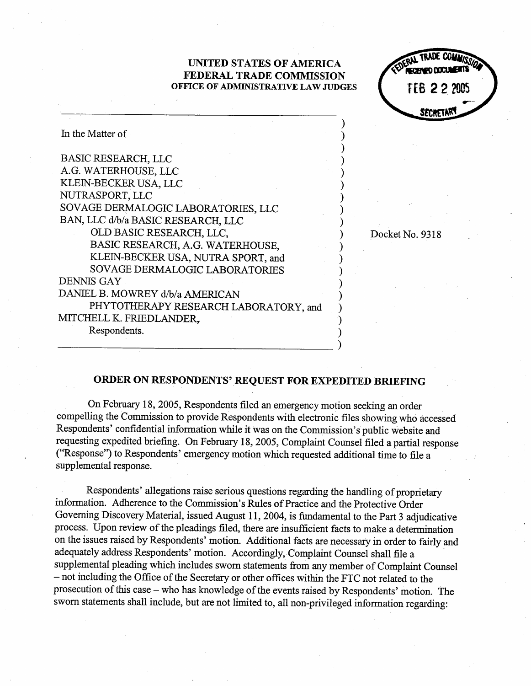## UNITED STATES OF AMERICA FEDERAL TRADE COMMISSION OFFICE OF ADMINISTRATIVE LAW JUDGES **HER 22 2 ?OSES**

r ry SECRETAR

| In the Matter of                      |  |
|---------------------------------------|--|
| <b>BASIC RESEARCH, LLC</b>            |  |
| A.G. WATERHOUSE, LLC                  |  |
| KLEIN-BECKER USA, LLC                 |  |
| NUTRASPORT, LLC                       |  |
| SOVAGE DERMALOGIC LABORATORIES, LLC   |  |
| BAN, LLC d/b/a BASIC RESEARCH, LLC    |  |
| OLD BASIC RESEARCH, LLC,              |  |
| BASIC RESEARCH, A.G. WATERHOUSE,      |  |
| KLEIN-BECKER USA, NUTRA SPORT, and    |  |
| <b>SOVAGE DERMALOGIC LABORATORIES</b> |  |
| DENNIS GAY                            |  |
| DANIEL B. MOWREY d/b/a AMERICAN       |  |
| PHYTOTHERAPY RESEARCH LABORATORY, and |  |
| MITCHELL K. FRIEDLANDER,              |  |
| Respondents.                          |  |
|                                       |  |

Docket No. 9318

## ORDER ON RESPONDENTS' REQUEST FOR EXPEDITED BRIEFING

On February 18, 2005, Respondents filed an emergency motion seeking an order compelling the Commission to provide Respondents with electronic files showing who accessed Respondents' confidential information while it was on the Commission's public website and requesting expedited briefing. On February 18, 2005, Complaint Counsel filed a partial response ("Response") to Respondents' emergency motion which requested additional time to file a supplemental response.

Respondents' allegations raise serious questions regarding the handling of proprietar information. Adherence to the Commission's Rules of Practice and the Protective Order Governing Discovery Material, issued August 11, 2004, is fundamental to the Part 3 adjudicative process. Upon review of the pleadings fied, there are insufficient facts to make a determination on the issues raised by Respondents' motion. Additional facts are necessary in order to fairly and adequately address Respondents' motion. Accordingly, Complaint Counsel shall fie a supplemental pleading which includes sworn statements from any member of Complaint Connsel - not including the Office of the Secretary or other offices within the FTC not related to the prosecution of this case – who has knowledge of the events raised by Respondents' motion. The sworn statements shall include, but are not limited to, all non-privileged information regarding: